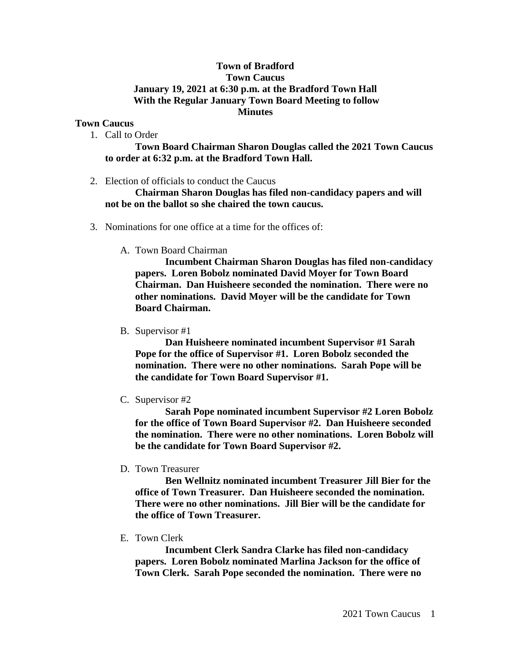## **Town of Bradford Town Caucus January 19, 2021 at 6:30 p.m. at the Bradford Town Hall With the Regular January Town Board Meeting to follow Minutes**

## **Town Caucus**

1. Call to Order

**Town Board Chairman Sharon Douglas called the 2021 Town Caucus to order at 6:32 p.m. at the Bradford Town Hall.** 

2. Election of officials to conduct the Caucus

**Chairman Sharon Douglas has filed non-candidacy papers and will not be on the ballot so she chaired the town caucus.**

- 3. Nominations for one office at a time for the offices of:
	- A. Town Board Chairman

**Incumbent Chairman Sharon Douglas has filed non-candidacy papers. Loren Bobolz nominated David Moyer for Town Board Chairman. Dan Huisheere seconded the nomination. There were no other nominations. David Moyer will be the candidate for Town Board Chairman.**

B. Supervisor #1

**Dan Huisheere nominated incumbent Supervisor #1 Sarah Pope for the office of Supervisor #1. Loren Bobolz seconded the nomination. There were no other nominations. Sarah Pope will be the candidate for Town Board Supervisor #1.**

C. Supervisor #2

**Sarah Pope nominated incumbent Supervisor #2 Loren Bobolz for the office of Town Board Supervisor #2. Dan Huisheere seconded the nomination. There were no other nominations. Loren Bobolz will be the candidate for Town Board Supervisor #2.**

D. Town Treasurer

**Ben Wellnitz nominated incumbent Treasurer Jill Bier for the office of Town Treasurer. Dan Huisheere seconded the nomination. There were no other nominations. Jill Bier will be the candidate for the office of Town Treasurer.**

E. Town Clerk

**Incumbent Clerk Sandra Clarke has filed non-candidacy papers. Loren Bobolz nominated Marlina Jackson for the office of Town Clerk. Sarah Pope seconded the nomination. There were no**